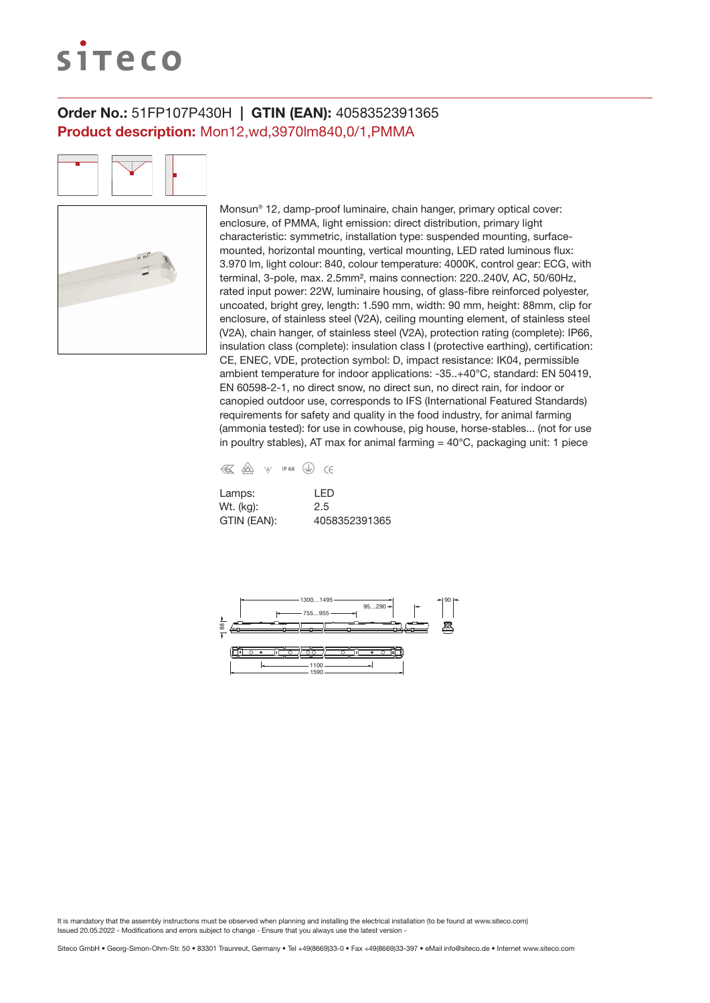# siteco

## Order No.: 51FP107P430H | GTIN (EAN): 4058352391365 Product description: Mon12,wd,3970lm840,0/1,PMMA

Monsun® 12, damp-proof luminaire, chain hanger, primary optical cover: enclosure, of PMMA, light emission: direct distribution, primary light characteristic: symmetric, installation type: suspended mounting, surfacemounted, horizontal mounting, vertical mounting, LED rated luminous flux: 3.970 lm, light colour: 840, colour temperature: 4000K, control gear: ECG, with terminal, 3-pole, max. 2.5mm², mains connection: 220..240V, AC, 50/60Hz, rated input power: 22W, luminaire housing, of glass-fibre reinforced polyester, uncoated, bright grey, length: 1.590 mm, width: 90 mm, height: 88mm, clip for enclosure, of stainless steel (V2A), ceiling mounting element, of stainless steel (V2A), chain hanger, of stainless steel (V2A), protection rating (complete): IP66, insulation class (complete): insulation class I (protective earthing), certification: CE, ENEC, VDE, protection symbol: D, impact resistance: IK04, permissible ambient temperature for indoor applications: -35..+40°C, standard: EN 50419, EN 60598-2-1, no direct snow, no direct sun, no direct rain, for indoor or canopied outdoor use, corresponds to IFS (International Featured Standards) requirements for safety and quality in the food industry, for animal farming (ammonia tested): for use in cowhouse, pig house, horse-stables... (not for use in poultry stables), AT max for animal farming  $=$  40 $^{\circ}$ C, packaging unit: 1 piece



| Lamps:      | I FD          |
|-------------|---------------|
| Wt. (kg):   | 2.5           |
| GTIN (EAN): | 4058352391365 |

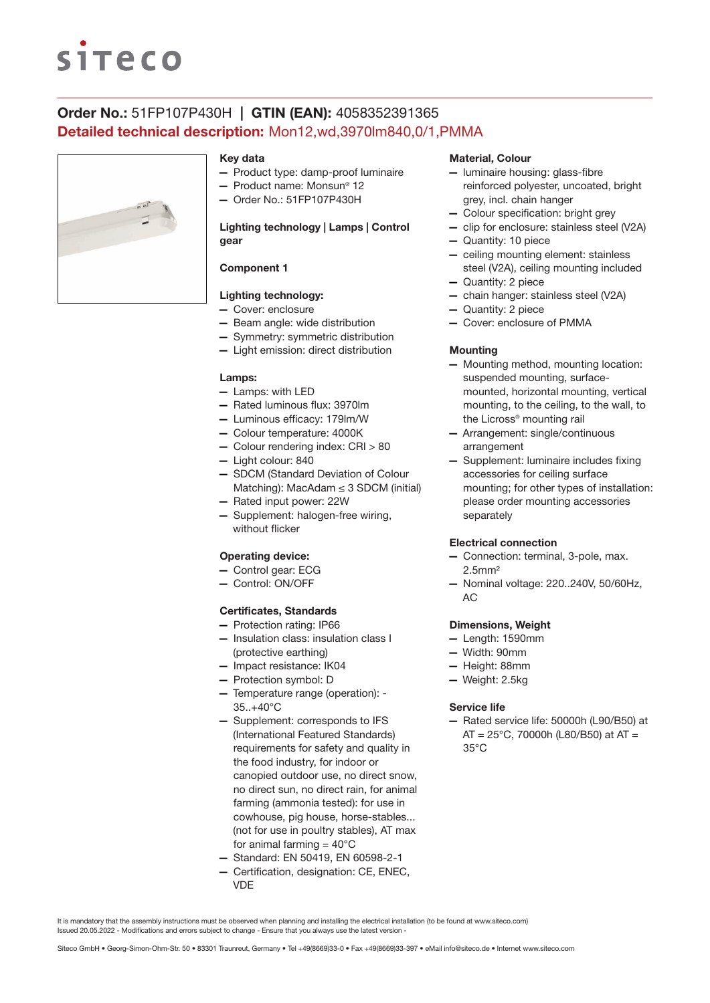# **siteco**

## Order No.: 51FP107P430H | GTIN (EAN): 4058352391365 Detailed technical description: Mon12,wd,3970lm840,0/1,PMMA



#### Key data

- Product type: damp-proof luminaire
- Product name: Monsun® 12
- Order No.: 51FP107P430H

### Lighting technology | Lamps | Control gear

## Component 1

## Lighting technology:

- Cover: enclosure
- Beam angle: wide distribution
- Symmetry: symmetric distribution
- Light emission: direct distribution

#### Lamps:

- Lamps: with LED
- Rated luminous flux: 3970lm
- Luminous efficacy: 179lm/W
- Colour temperature: 4000K
- Colour rendering index: CRI > 80
- Light colour: 840
- SDCM (Standard Deviation of Colour Matching): MacAdam ≤ 3 SDCM (initial)
- Rated input power: 22W
- Supplement: halogen-free wiring, without flicker

#### Operating device:

- Control gear: ECG
- Control: ON/OFF

#### Certificates, Standards

- Protection rating: IP66
- Insulation class: insulation class I (protective earthing)
- Impact resistance: IK04
- Protection symbol: D
- Temperature range (operation): 35..+40°C
- Supplement: corresponds to IFS (International Featured Standards) requirements for safety and quality in the food industry, for indoor or canopied outdoor use, no direct snow, no direct sun, no direct rain, for animal farming (ammonia tested): for use in cowhouse, pig house, horse-stables... (not for use in poultry stables), AT max for animal farming  $= 40^{\circ}$ C
- Standard: EN 50419, EN 60598-2-1
- Certification, designation: CE, ENEC, VDE

#### Material, Colour

- luminaire housing: glass-fibre reinforced polyester, uncoated, bright grey, incl. chain hanger
- Colour specification: bright grey
- clip for enclosure: stainless steel (V2A)
- Quantity: 10 piece
- ceiling mounting element: stainless steel (V2A), ceiling mounting included
- Quantity: 2 piece
- chain hanger: stainless steel (V2A)
- Quantity: 2 piece
- Cover: enclosure of PMMA

#### **Mounting**

- Mounting method, mounting location: suspended mounting, surfacemounted, horizontal mounting, vertical mounting, to the ceiling, to the wall, to the Licross® mounting rail
- Arrangement: single/continuous arrangement
- Supplement: luminaire includes fixing accessories for ceiling surface mounting; for other types of installation: please order mounting accessories separately

#### Electrical connection

- Connection: terminal, 3-pole, max. 2.5mm²
- Nominal voltage: 220..240V, 50/60Hz, AC

#### Dimensions, Weight

- Length: 1590mm
- Width: 90mm
- Height: 88mm
- Weight: 2.5kg

#### Service life

— Rated service life: 50000h (L90/B50) at  $AT = 25^{\circ}$ C, 70000h (L80/B50) at AT = 35°C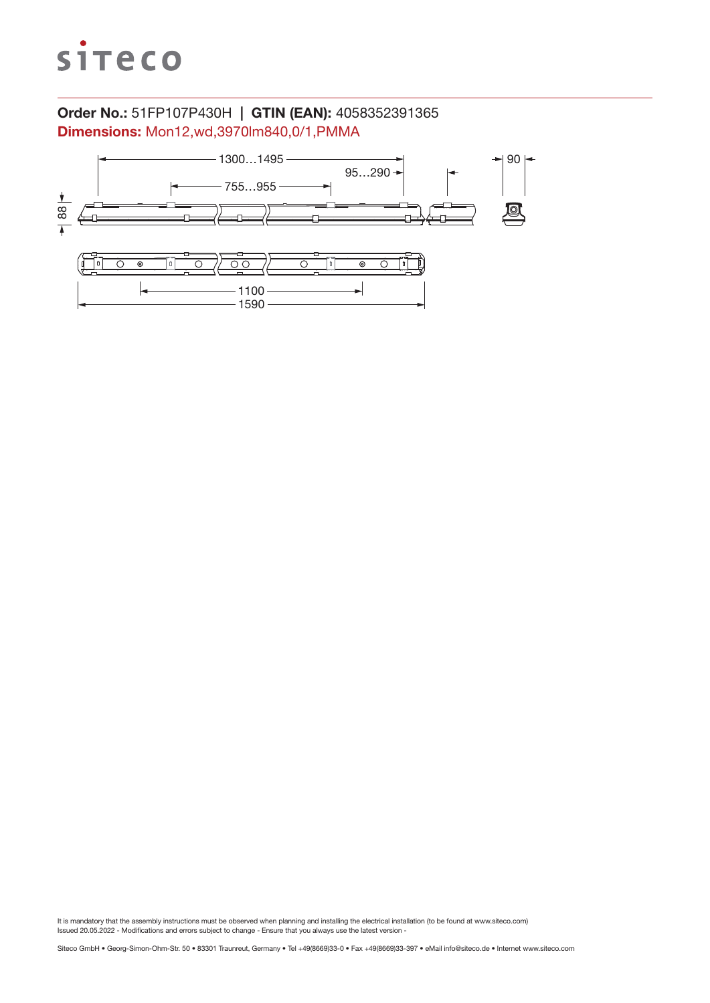

# Order No.: 51FP107P430H | GTIN (EAN): 4058352391365 Dimensions: Mon12,wd,3970lm840,0/1,PMMA